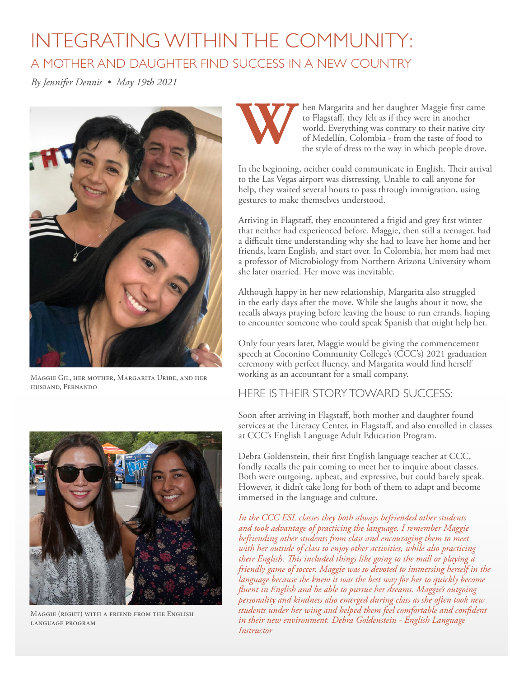## INTEGRATING WITHIN THE COMMUNITY: A MOTHER AND DAUGHTER FIND SUCCESS IN A NEW COUNTRY

*By Jennifer Dennis • May 19th 2021* 



Maggie Gil, her mother, Margarita Uribe, and her husband, Fernando



Maggie (right) with a friend from the English language program



**Warehould** then Margarita and her daughter Maggie first came to Flagstaff, they felt as if they were in another world. Everything was contrary to their native city of Medellín, Colombia - from the taste of food to the sty to Flagstaf, they felt as if they were in another world. Everything was contrary to their native city of Medellín, Colombia - from the taste of food to the style of dress to the way in which people drove.

In the beginning, neither could communicate in English. Their arrival to the Las Vegas airport was distressing. Unable to call anyone for help, they waited several hours to pass through immigration, using gestures to make themselves understood.

Arriving in Flagstaf, they encountered a frigid and grey frst winter that neither had experienced before. Maggie, then still a teenager, had a difficult time understanding why she had to leave her home and her friends, learn English, and start over. In Colombia, her mom had met a professor of Microbiology from Northern Arizona University whom she later married. Her move was inevitable.

Although happy in her new relationship, Margarita also struggled in the early days after the move. While she laughs about it now, she recalls always praying before leaving the house to run errands, hoping to encounter someone who could speak Spanish that might help her.

Only four years later, Maggie would be giving the commencement speech at Coconino Community College's (CCC's) 2021 graduation ceremony with perfect fuency, and Margarita would fnd herself working as an accountant for a small company.

## HERE IS THEIR STORY TOWARD SUCCESS:

Soon after arriving in Flagstaf, both mother and daughter found services at the Literacy Center, in Flagstaff, and also enrolled in classes at CCC's English Language Adult Education Program.

Debra Goldenstein, their frst English language teacher at CCC, fondly recalls the pair coming to meet her to inquire about classes. Both were outgoing, upbeat, and expressive, but could barely speak. However, it didn't take long for both of them to adapt and become immersed in the language and culture.

*In the CCC ESL classes they both always befriended other students and took advantage of practicing the language. I remember Maggie befriending other students from class and encouraging them to meet with her outside of class to enjoy other activities, while also practicing their English. Tis included things like going to the mall or playing a friendly game of soccer. Maggie was so devoted to immersing herself in the language because she knew it was the best way for her to quickly become fuent in English and be able to pursue her dreams. Maggie's outgoing personality and kindness also emerged during class as she often took new students under her wing and helped them feel comfortable and confdent in their new environment. Debra Goldenstein - English Language Instructor*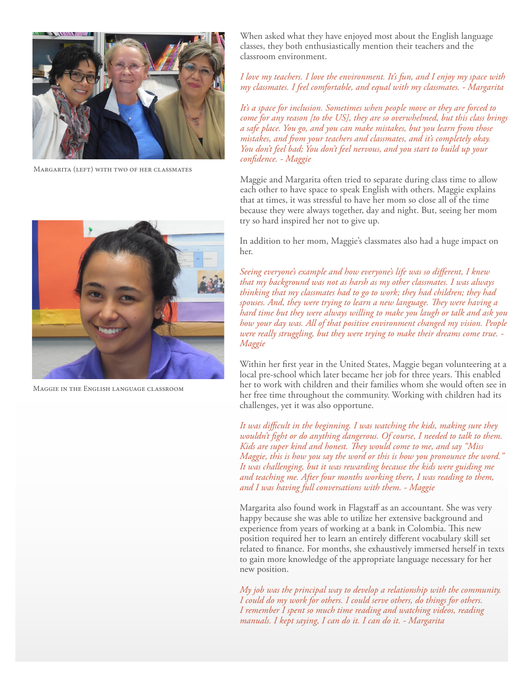

Margarita (left) with two of her classmates



Maggie in the English language classroom

When asked what they have enjoyed most about the English language classes, they both enthusiastically mention their teachers and the classroom environment.

*I love my teachers. I love the environment. It's fun, and I enjoy my space with my classmates. I feel comfortable, and equal with my classmates. - Margarita* 

*It's a space for inclusion. Sometimes when people move or they are forced to come for any reason [to the US], they are so overwhelmed, but this class brings a safe place. You go, and you can make mistakes, but you learn from those mistakes, and from your teachers and classmates, and it's completely okay. You don't feel bad; You don't feel nervous, and you start to build up your confdence. - Maggie* 

Maggie and Margarita often tried to separate during class time to allow each other to have space to speak English with others. Maggie explains that at times, it was stressful to have her mom so close all of the time because they were always together, day and night. But, seeing her mom try so hard inspired her not to give up.

In addition to her mom, Maggie's classmates also had a huge impact on her.

*Seeing everyone's example and how everyone's life was so diferent, I knew that my background was not as harsh as my other classmates. I was always thinking that my classmates had to go to work; they had children; they had*  spouses. And, they were trying to learn a new language. They were having a *hard time but they were always willing to make you laugh or talk and ask you how your day was. All of that positive environment changed my vision. People were really struggling, but they were trying to make their dreams come true. - Maggie* 

Within her frst year in the United States, Maggie began volunteering at a local pre-school which later became her job for three years. This enabled her to work with children and their families whom she would often see in her free time throughout the community. Working with children had its challenges, yet it was also opportune.

*It was difcult in the beginning. I was watching the kids, making sure they wouldn't fght or do anything dangerous. Of course, I needed to talk to them.*  Kids are super kind and honest. They would come to me, and say "Miss *Maggie, this is how you say the word or this is how you pronounce the word." It was challenging, but it was rewarding because the kids were guiding me and teaching me. After four months working there, I was reading to them, and I was having full conversations with them. - Maggie* 

Margarita also found work in Flagstaff as an accountant. She was very happy because she was able to utilize her extensive background and experience from years of working at a bank in Colombia. This new position required her to learn an entirely diferent vocabulary skill set related to fnance. For months, she exhaustively immersed herself in texts to gain more knowledge of the appropriate language necessary for her new position.

*My job was the principal way to develop a relationship with the community. I could do my work for others. I could serve others, do things for others. I remember I spent so much time reading and watching videos, reading manuals. I kept saying, I can do it. I can do it. - Margarita*